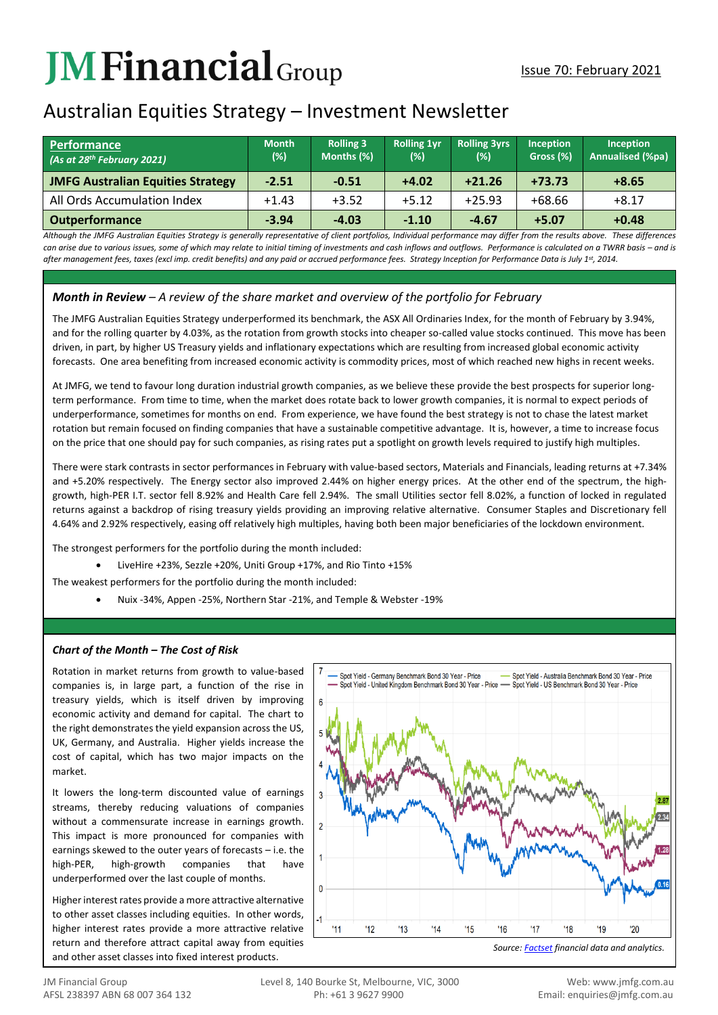# **JMFinancial**Group

# Australian Equities Strategy – Investment Newsletter

| <b>Performance</b><br>(As at 28 <sup>th</sup> February 2021) | <b>Month</b><br>$(\%)$ | <b>Rolling 3</b><br>Months (%) | <b>Rolling 1vr</b><br>(%) | <b>Rolling 3yrs</b><br>(%) | <b>Inception</b><br>Gross (%) | Inception<br>Annualised (%pa) |
|--------------------------------------------------------------|------------------------|--------------------------------|---------------------------|----------------------------|-------------------------------|-------------------------------|
| <b>JMFG Australian Equities Strategy</b>                     | $-2.51$                | $-0.51$                        | $+4.02$                   | $+21.26$                   | $+73.73$                      | $+8.65$                       |
| All Ords Accumulation Index                                  | $+1.43$                | $+3.52$                        | $+5.12$                   | $+25.93$                   | $+68.66$                      | $+8.17$                       |
| <b>Outperformance</b>                                        | $-3.94$                | $-4.03$                        | $-1.10$                   | $-4.67$                    | $+5.07$                       | $+0.48$                       |

*Although the JMFG Australian Equities Strategy is generally representative of client portfolios, Individual performance may differ from the results above. These differences*  can arise due to various issues, some of which may relate to initial timing of investments and cash inflows and outflows. Performance is calculated on a TWRR basis – and is *after management fees, taxes (excl imp. credit benefits) and any paid or accrued performance fees. Strategy Inception for Performance Data is July 1st, 2014.*

## *Month in Review – A review of the share market and overview of the portfolio for February*

The JMFG Australian Equities Strategy underperformed its benchmark, the ASX All Ordinaries Index, for the month of February by 3.94%, and for the rolling quarter by 4.03%, as the rotation from growth stocks into cheaper so-called value stocks continued. This move has been driven, in part, by higher US Treasury yields and inflationary expectations which are resulting from increased global economic activity forecasts. One area benefiting from increased economic activity is commodity prices, most of which reached new highs in recent weeks.

At JMFG, we tend to favour long duration industrial growth companies, as we believe these provide the best prospects for superior longterm performance. From time to time, when the market does rotate back to lower growth companies, it is normal to expect periods of underperformance, sometimes for months on end. From experience, we have found the best strategy is not to chase the latest market rotation but remain focused on finding companies that have a sustainable competitive advantage. It is, however, a time to increase focus on the price that one should pay for such companies, as rising rates put a spotlight on growth levels required to justify high multiples.

There were stark contrasts in sector performances in February with value-based sectors, Materials and Financials, leading returns at +7.34% and +5.20% respectively. The Energy sector also improved 2.44% on higher energy prices. At the other end of the spectrum, the highgrowth, high-PER I.T. sector fell 8.92% and Health Care fell 2.94%. The small Utilities sector fell 8.02%, a function of locked in regulated returns against a backdrop of rising treasury yields providing an improving relative alternative. Consumer Staples and Discretionary fell 4.64% and 2.92% respectively, easing off relatively high multiples, having both been major beneficiaries of the lockdown environment.

The strongest performers for the portfolio during the month included:

• LiveHire +23%, Sezzle +20%, Uniti Group +17%, and Rio Tinto +15%

The weakest performers for the portfolio during the month included:

• Nuix -34%, Appen -25%, Northern Star -21%, and Temple & Webster -19%

### *Chart of the Month – The Cost of Risk*

Rotation in market returns from growth to value-based companies is, in large part, a function of the rise in treasury yields, which is itself driven by improving economic activity and demand for capital. The chart to the right demonstrates the yield expansion across the US, UK, Germany, and Australia. Higher yields increase the cost of capital, which has two major impacts on the market.

It lowers the long-term discounted value of earnings streams, thereby reducing valuations of companies without a commensurate increase in earnings growth. This impact is more pronounced for companies with earnings skewed to the outer years of forecasts – i.e. the high-PER, high-growth companies that have underperformed over the last couple of months.

Higher interest rates provide a more attractive alternative to other asset classes including equities. In other words, higher interest rates provide a more attractive relative return and therefore attract capital away from equities and other asset classes into fixed interest products.